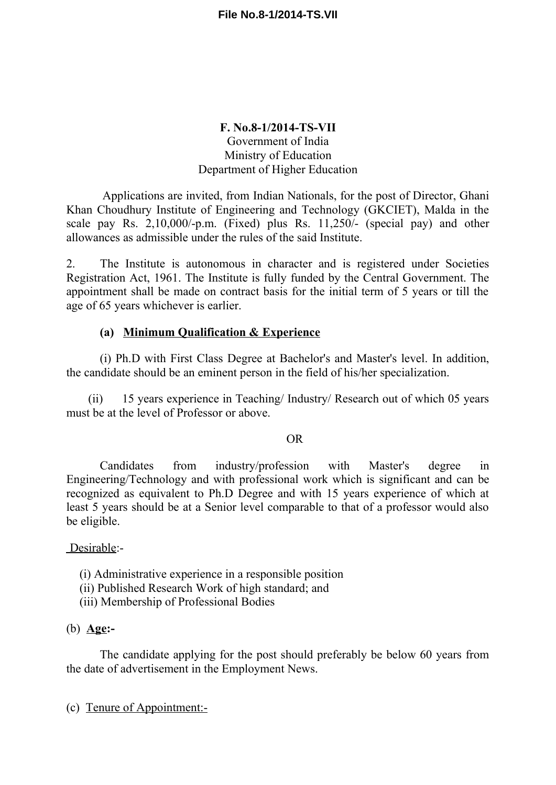## **F. No.8-1/2014-TS-VII** Government of India Ministry of Education Department of Higher Education

Applications are invited, from Indian Nationals, for the post of Director, Ghani Khan Choudhury Institute of Engineering and Technology (GKCIET), Malda in the scale pay Rs. 2,10,000/-p.m. (Fixed) plus Rs. 11,250/- (special pay) and other allowances as admissible under the rules of the said Institute.

2. The Institute is autonomous in character and is registered under Societies Registration Act, 1961. The Institute is fully funded by the Central Government. The appointment shall be made on contract basis for the initial term of 5 years or till the age of 65 years whichever is earlier.

## **(a) Minimum Qualification & Experience**

(i) Ph.D with First Class Degree at Bachelor's and Master's level. In addition, the candidate should be an eminent person in the field of his/her specialization.

(ii) 15 years experience in Teaching/ Industry/ Research out of which 05 years must be at the level of Professor or above.

OR

Candidates from industry/profession with Master's degree in Engineering/Technology and with professional work which is significant and can be recognized as equivalent to Ph.D Degree and with 15 years experience of which at least 5 years should be at a Senior level comparable to that of a professor would also be eligible.

Desirable:-

- (i) Administrative experience in a responsible position
- (ii) Published Research Work of high standard; and
- (iii) Membership of Professional Bodies

## (b) **Age:-**

The candidate applying for the post should preferably be below 60 years from the date of advertisement in the Employment News.

(c) Tenure of Appointment:-